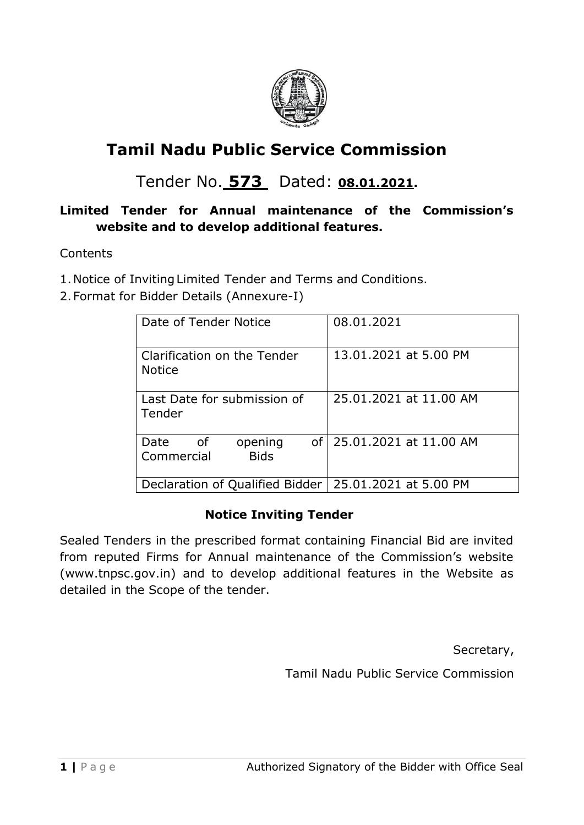

# **Tamil Nadu Public Service Commission**

## Tender No. **573** Dated: **08.01.2021.**

## **Limited Tender for Annual maintenance of the Commission's website and to develop additional features.**

Contents

- 1.Notice of InvitingLimited Tender and Terms and Conditions.
- 2.Format for Bidder Details (Annexure-I)

| Date of Tender Notice                                   | 08.01.2021                |  |
|---------------------------------------------------------|---------------------------|--|
| Clarification on the Tender<br><b>Notice</b>            | 13.01.2021 at 5.00 PM     |  |
| Last Date for submission of<br>Tender                   | 25.01.2021 at 11.00 AM    |  |
| Date<br>opening<br>of<br><b>Bids</b><br>Commercial      | of 25.01.2021 at 11.00 AM |  |
| Declaration of Qualified Bidder   25.01.2021 at 5.00 PM |                           |  |

## **Notice Inviting Tender**

Sealed Tenders in the prescribed format containing Financial Bid are invited from reputed Firms for Annual maintenance of the Commission's website (www.tnpsc.gov.in) and to develop additional features in the Website as detailed in the Scope of the tender.

Secretary,

Tamil Nadu Public Service Commission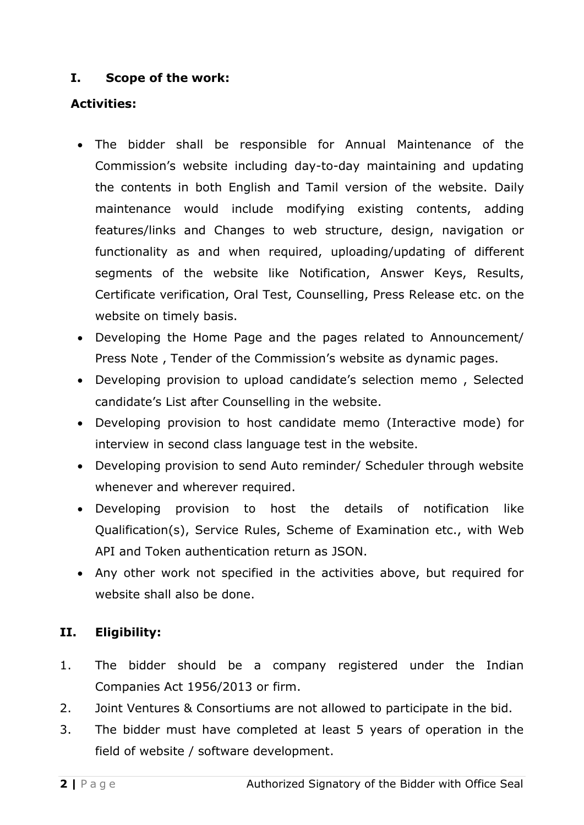## **I. Scope of the work:**

## **Activities:**

- The bidder shall be responsible for Annual Maintenance of the Commission's website including day-to-day maintaining and updating the contents in both English and Tamil version of the website. Daily maintenance would include modifying existing contents, adding features/links and Changes to web structure, design, navigation or functionality as and when required, uploading/updating of different segments of the website like Notification, Answer Keys, Results, Certificate verification, Oral Test, Counselling, Press Release etc. on the website on timely basis.
- Developing the Home Page and the pages related to Announcement/ Press Note , Tender of the Commission's website as dynamic pages.
- Developing provision to upload candidate's selection memo , Selected candidate's List after Counselling in the website.
- Developing provision to host candidate memo (Interactive mode) for interview in second class language test in the website.
- Developing provision to send Auto reminder/ Scheduler through website whenever and wherever required.
- Developing provision to host the details of notification like Qualification(s), Service Rules, Scheme of Examination etc., with Web API and Token authentication return as JSON.
- Any other work not specified in the activities above, but required for website shall also be done.

## **II. Eligibility:**

- 1. The bidder should be a company registered under the Indian Companies Act 1956/2013 or firm.
- 2. Joint Ventures & Consortiums are not allowed to participate in the bid.
- 3. The bidder must have completed at least 5 years of operation in the field of website / software development.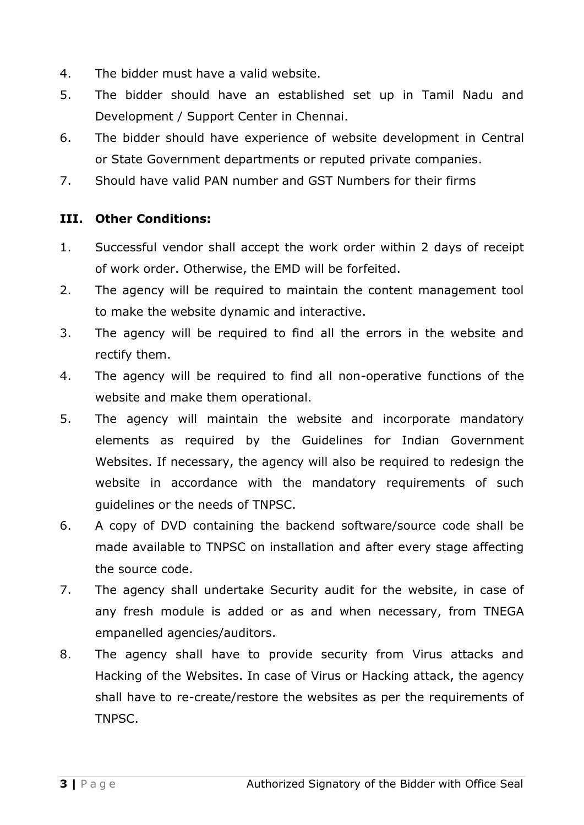- 4. The bidder must have a valid website.
- 5. The bidder should have an established set up in Tamil Nadu and Development / Support Center in Chennai.
- 6. The bidder should have experience of website development in Central or State Government departments or reputed private companies.
- 7. Should have valid PAN number and GST Numbers for their firms

## **III. Other Conditions:**

- 1. Successful vendor shall accept the work order within 2 days of receipt of work order. Otherwise, the EMD will be forfeited.
- 2. The agency will be required to maintain the content management tool to make the website dynamic and interactive.
- 3. The agency will be required to find all the errors in the website and rectify them.
- 4. The agency will be required to find all non-operative functions of the website and make them operational.
- 5. The agency will maintain the website and incorporate mandatory elements as required by the Guidelines for Indian Government Websites. If necessary, the agency will also be required to redesign the website in accordance with the mandatory requirements of such guidelines or the needs of TNPSC.
- 6. A copy of DVD containing the backend software/source code shall be made available to TNPSC on installation and after every stage affecting the source code.
- 7. The agency shall undertake Security audit for the website, in case of any fresh module is added or as and when necessary, from TNEGA empanelled agencies/auditors.
- 8. The agency shall have to provide security from Virus attacks and Hacking of the Websites. In case of Virus or Hacking attack, the agency shall have to re-create/restore the websites as per the requirements of TNPSC.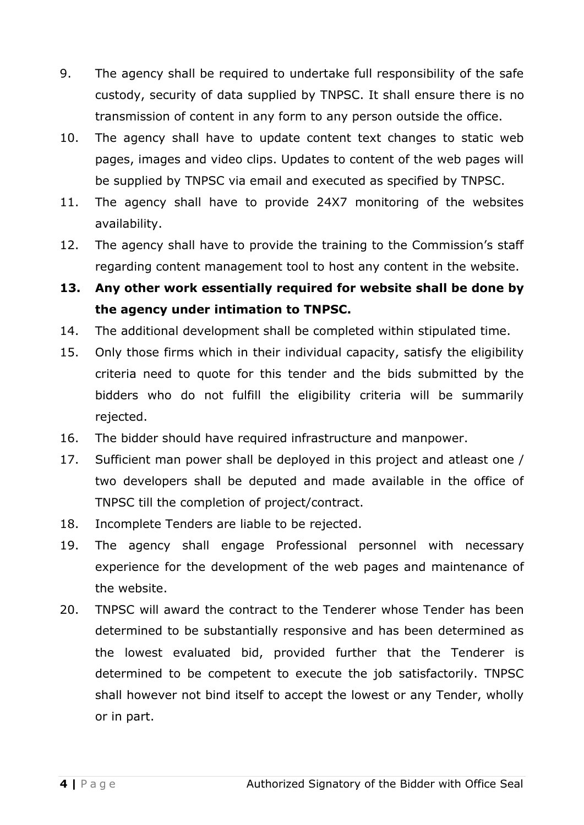- 9. The agency shall be required to undertake full responsibility of the safe custody, security of data supplied by TNPSC. It shall ensure there is no transmission of content in any form to any person outside the office.
- 10. The agency shall have to update content text changes to static web pages, images and video clips. Updates to content of the web pages will be supplied by TNPSC via email and executed as specified by TNPSC.
- 11. The agency shall have to provide 24X7 monitoring of the websites availability.
- 12. The agency shall have to provide the training to the Commission's staff regarding content management tool to host any content in the website.
- **13. Any other work essentially required for website shall be done by the agency under intimation to TNPSC.**
- 14. The additional development shall be completed within stipulated time.
- 15. Only those firms which in their individual capacity, satisfy the eligibility criteria need to quote for this tender and the bids submitted by the bidders who do not fulfill the eligibility criteria will be summarily rejected.
- 16. The bidder should have required infrastructure and manpower.
- 17. Sufficient man power shall be deployed in this project and atleast one / two developers shall be deputed and made available in the office of TNPSC till the completion of project/contract.
- 18. Incomplete Tenders are liable to be rejected.
- 19. The agency shall engage Professional personnel with necessary experience for the development of the web pages and maintenance of the website.
- 20. TNPSC will award the contract to the Tenderer whose Tender has been determined to be substantially responsive and has been determined as the lowest evaluated bid, provided further that the Tenderer is determined to be competent to execute the job satisfactorily. TNPSC shall however not bind itself to accept the lowest or any Tender, wholly or in part.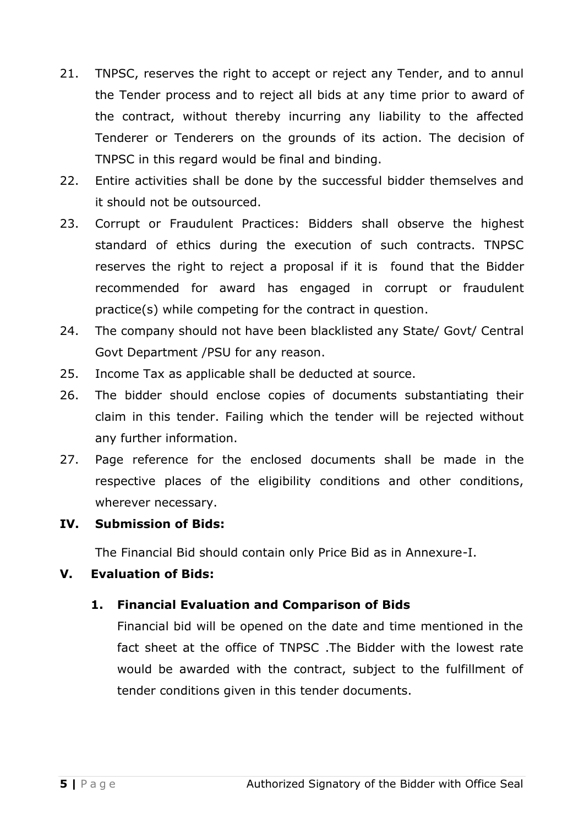- 21. TNPSC, reserves the right to accept or reject any Tender, and to annul the Tender process and to reject all bids at any time prior to award of the contract, without thereby incurring any liability to the affected Tenderer or Tenderers on the grounds of its action. The decision of TNPSC in this regard would be final and binding.
- 22. Entire activities shall be done by the successful bidder themselves and it should not be outsourced.
- 23. Corrupt or Fraudulent Practices: Bidders shall observe the highest standard of ethics during the execution of such contracts. TNPSC reserves the right to reject a proposal if it is found that the Bidder recommended for award has engaged in corrupt or fraudulent practice(s) while competing for the contract in question.
- 24. The company should not have been blacklisted any State/ Govt/ Central Govt Department /PSU for any reason.
- 25. Income Tax as applicable shall be deducted at source.
- 26. The bidder should enclose copies of documents substantiating their claim in this tender. Failing which the tender will be rejected without any further information.
- 27. Page reference for the enclosed documents shall be made in the respective places of the eligibility conditions and other conditions, wherever necessary.

## **IV. Submission of Bids:**

The Financial Bid should contain only Price Bid as in Annexure-I.

## **V. Evaluation of Bids:**

#### **1. Financial Evaluation and Comparison of Bids**

Financial bid will be opened on the date and time mentioned in the fact sheet at the office of TNPSC .The Bidder with the lowest rate would be awarded with the contract, subject to the fulfillment of tender conditions given in this tender documents.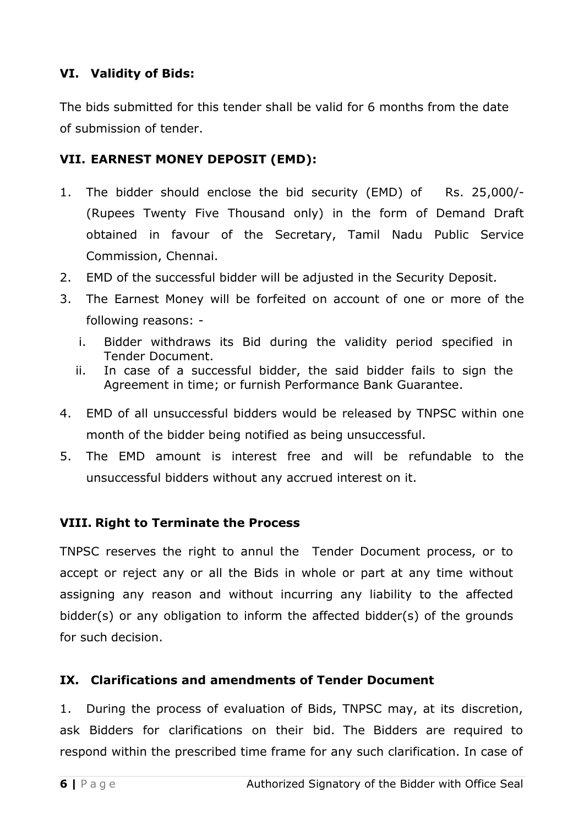## **VI. Validity of Bids:**

The bids submitted for this tender shall be valid for 6 months from the date of submission of tender.

## **VII. EARNEST MONEY DEPOSIT (EMD):**

- 1. The bidder should enclose the bid security (EMD) of Rs. 25,000/-(Rupees Twenty Five Thousand only) in the form of Demand Draft obtained in favour of the Secretary, Tamil Nadu Public Service Commission, Chennai.
- 2. EMD of the successful bidder will be adjusted in the Security Deposit.
- 3. The Earnest Money will be forfeited on account of one or more of the following reasons:
	- i. Bidder withdraws its Bid during the validity period specified in Tender Document.
	- ii. In case of a successful bidder, the said bidder fails to sign the Agreement in time; or furnish Performance Bank Guarantee.
- 4. EMD of all unsuccessful bidders would be released by TNPSC within one month of the bidder being notified as being unsuccessful.
- 5. The EMD amount is interest free and will be refundable to the unsuccessful bidders without any accrued interest on it.

#### **VIII. Right to Terminate the Process**

TNPSC reserves the right to annul the Tender Document process, or to accept or reject any or all the Bids in whole or part at any time without assigning any reason and without incurring any liability to the affected bidder(s) or any obligation to inform the affected bidder(s) of the grounds for such decision.

#### **IX. Clarifications and amendments of Tender Document**

1. During the process of evaluation of Bids, TNPSC may, at its discretion, ask Bidders for clarifications on their bid. The Bidders are required to respond within the prescribed time frame for any such clarification. In case of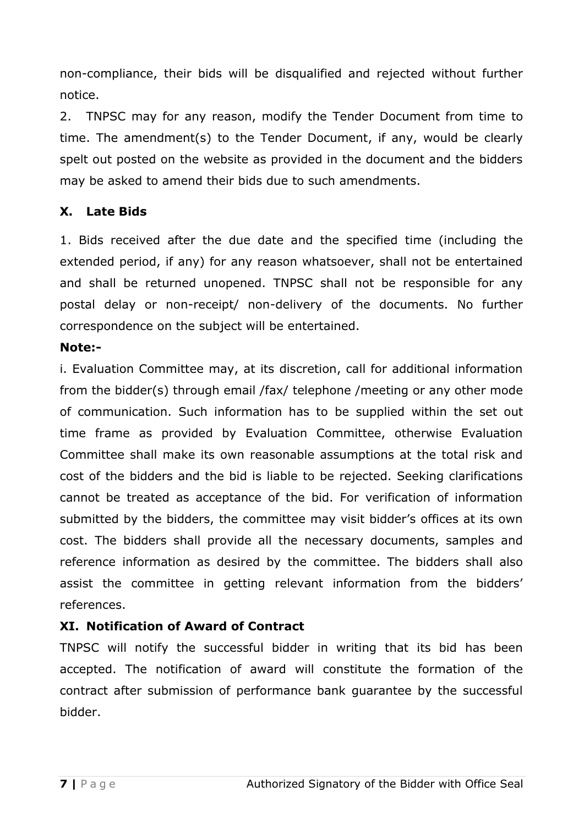non-compliance, their bids will be disqualified and rejected without further notice.

2. TNPSC may for any reason, modify the Tender Document from time to time. The amendment(s) to the Tender Document, if any, would be clearly spelt out posted on the website as provided in the document and the bidders may be asked to amend their bids due to such amendments.

#### **X. Late Bids**

1. Bids received after the due date and the specified time (including the extended period, if any) for any reason whatsoever, shall not be entertained and shall be returned unopened. TNPSC shall not be responsible for any postal delay or non-receipt/ non-delivery of the documents. No further correspondence on the subject will be entertained.

#### **Note:-**

i. Evaluation Committee may, at its discretion, call for additional information from the bidder(s) through email /fax/ telephone /meeting or any other mode of communication. Such information has to be supplied within the set out time frame as provided by Evaluation Committee, otherwise Evaluation Committee shall make its own reasonable assumptions at the total risk and cost of the bidders and the bid is liable to be rejected. Seeking clarifications cannot be treated as acceptance of the bid. For verification of information submitted by the bidders, the committee may visit bidder's offices at its own cost. The bidders shall provide all the necessary documents, samples and reference information as desired by the committee. The bidders shall also assist the committee in getting relevant information from the bidders' references.

## **XI. Notification of Award of Contract**

TNPSC will notify the successful bidder in writing that its bid has been accepted. The notification of award will constitute the formation of the contract after submission of performance bank guarantee by the successful bidder.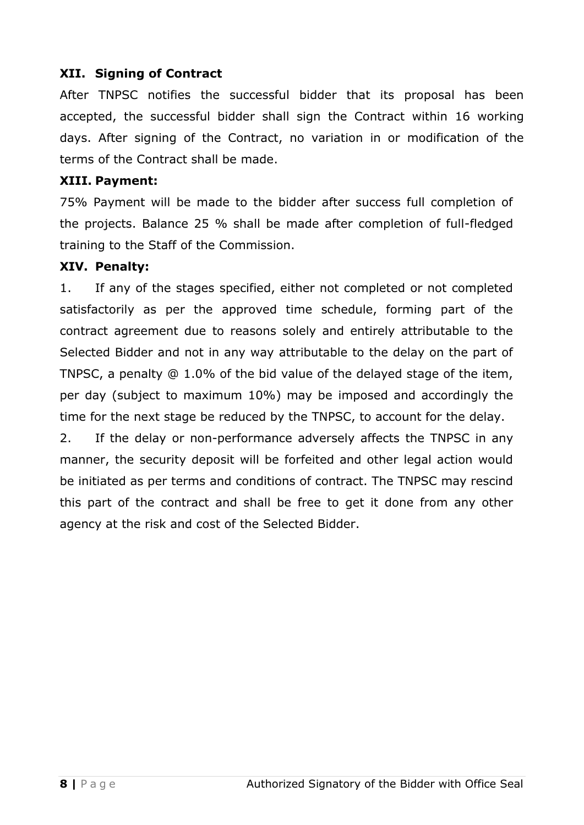#### **XII. Signing of Contract**

After TNPSC notifies the successful bidder that its proposal has been accepted, the successful bidder shall sign the Contract within 16 working days. After signing of the Contract, no variation in or modification of the terms of the Contract shall be made.

#### **XIII. Payment:**

75% Payment will be made to the bidder after success full completion of the projects. Balance 25 % shall be made after completion of full-fledged training to the Staff of the Commission.

#### **XIV. Penalty:**

1. If any of the stages specified, either not completed or not completed satisfactorily as per the approved time schedule, forming part of the contract agreement due to reasons solely and entirely attributable to the Selected Bidder and not in any way attributable to the delay on the part of TNPSC, a penalty @ 1.0% of the bid value of the delayed stage of the item, per day (subject to maximum 10%) may be imposed and accordingly the time for the next stage be reduced by the TNPSC, to account for the delay.

2. If the delay or non-performance adversely affects the TNPSC in any manner, the security deposit will be forfeited and other legal action would be initiated as per terms and conditions of contract. The TNPSC may rescind this part of the contract and shall be free to get it done from any other agency at the risk and cost of the Selected Bidder.